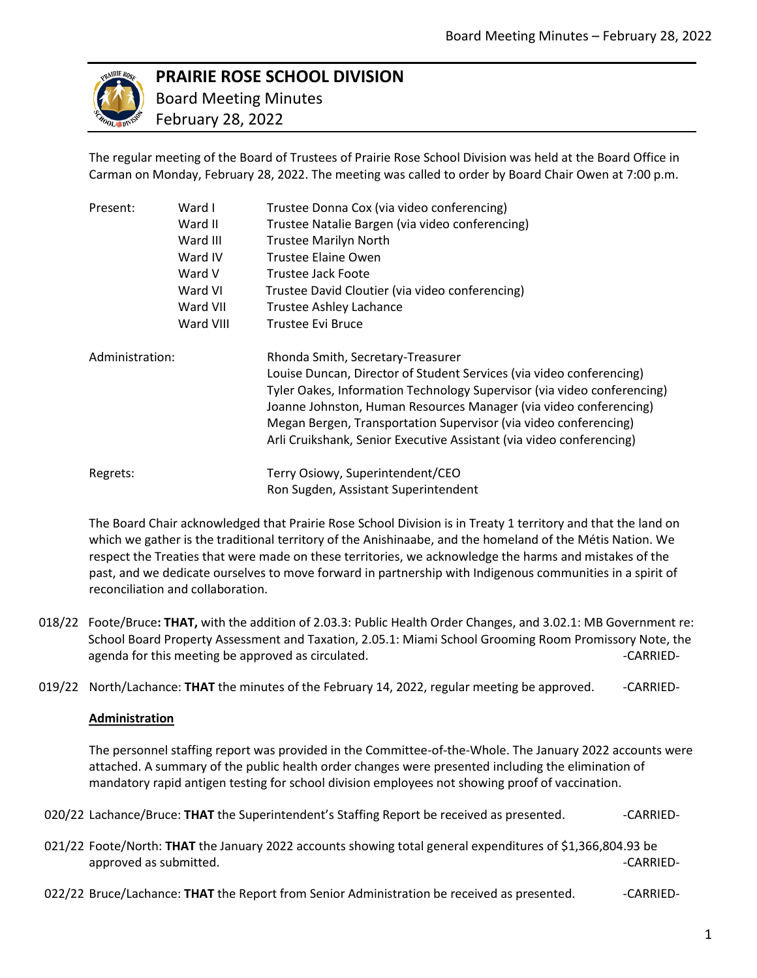

# **PRAIRIE ROSE SCHOOL DIVISION**

 Board Meeting Minutes February 28, 2022

The regular meeting of the Board of Trustees of Prairie Rose School Division was held at the Board Office in Carman on Monday, February 28, 2022. The meeting was called to order by Board Chair Owen at 7:00 p.m.

| Present:        | Ward I    | Trustee Donna Cox (via video conferencing)                              |
|-----------------|-----------|-------------------------------------------------------------------------|
|                 | Ward II   | Trustee Natalie Bargen (via video conferencing)                         |
|                 | Ward III  | <b>Trustee Marilyn North</b>                                            |
|                 | Ward IV   | Trustee Elaine Owen                                                     |
|                 | Ward V    | Trustee Jack Foote                                                      |
|                 | Ward VI   | Trustee David Cloutier (via video conferencing)                         |
|                 | Ward VII  | Trustee Ashley Lachance                                                 |
|                 | Ward VIII | Trustee Evi Bruce                                                       |
| Administration: |           | Rhonda Smith, Secretary-Treasurer                                       |
|                 |           | Louise Duncan, Director of Student Services (via video conferencing)    |
|                 |           | Tyler Oakes, Information Technology Supervisor (via video conferencing) |
|                 |           | Joanne Johnston, Human Resources Manager (via video conferencing)       |
|                 |           | Megan Bergen, Transportation Supervisor (via video conferencing)        |
|                 |           | Arli Cruikshank, Senior Executive Assistant (via video conferencing)    |
| Regrets:        |           | Terry Osiowy, Superintendent/CEO                                        |
|                 |           | Ron Sugden, Assistant Superintendent                                    |

The Board Chair acknowledged that Prairie Rose School Division is in Treaty 1 territory and that the land on which we gather is the traditional territory of the Anishinaabe, and the homeland of the Métis Nation. We respect the Treaties that were made on these territories, we acknowledge the harms and mistakes of the past, and we dedicate ourselves to move forward in partnership with Indigenous communities in a spirit of reconciliation and collaboration.

- 018/22 Foote/Bruce**: THAT,** with the addition of 2.03.3: Public Health Order Changes, and 3.02.1: MB Government re: School Board Property Assessment and Taxation, 2.05.1: Miami School Grooming Room Promissory Note, the agenda for this meeting be approved as circulated. The same state of the case of the CARRIED-
- 019/22 North/Lachance: **THAT** the minutes of the February 14, 2022, regular meeting be approved. --CARRIED-

## **Administration**

The personnel staffing report was provided in the Committee-of-the-Whole. The January 2022 accounts were attached. A summary of the public health order changes were presented including the elimination of mandatory rapid antigen testing for school division employees not showing proof of vaccination.

- 020/22 Lachance/Bruce: **THAT** the Superintendent's Staffing Report be received as presented. - CARRIED-
- 021/22 Foote/North: **THAT** the January 2022 accounts showing total general expenditures of \$1,366,804.93 be approved as submitted. The contract of the contract of the contract of the contract of the case of the contract of the contract of the contract of the contract of the contract of the contract of the contract of the contrac
- 022/22 Bruce/Lachance: **THAT** the Report from Senior Administration be received as presented. - CARRIED-